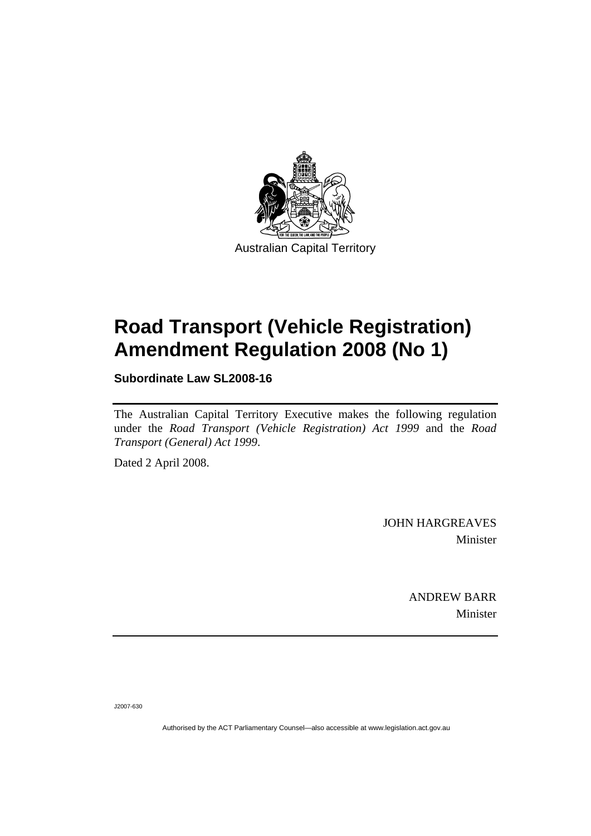

# **[Road Transport \(Vehicle Registration\)](#page-2-0)  [Amendment Regulation 2008 \(No 1\)](#page-2-0)**

**Subordinate Law SL2008-16** 

The Australian Capital Territory Executive makes the following regulation under the *[Road Transport \(Vehicle Registration\) Act 1999](#page-2-0)* and the *Road Transport (General) Act 1999*.

Dated 2 April 2008.

JOHN HARGREAVES Minister

> ANDREW BARR Minister

J2007-630

Authorised by the ACT Parliamentary Counsel—also accessible at www.legislation.act.gov.au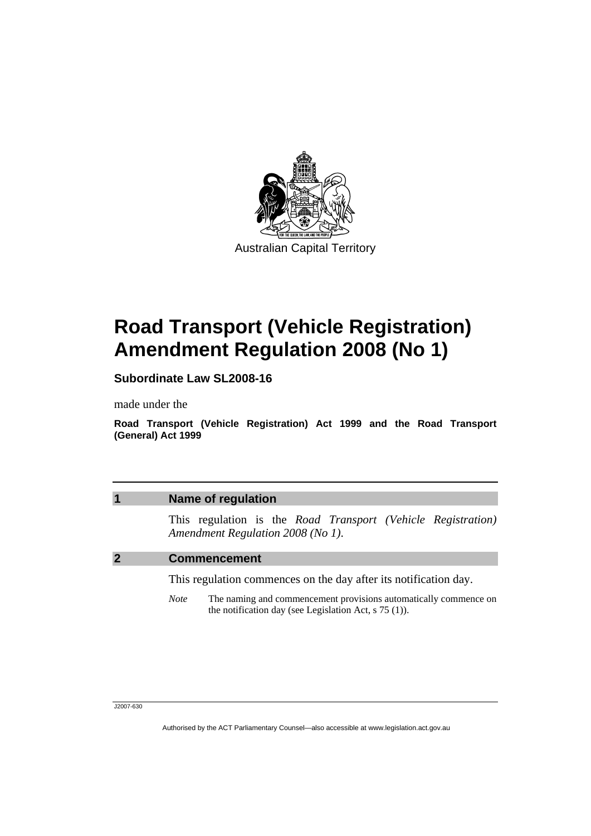<span id="page-2-0"></span>

# **Road Transport (Vehicle Registration) Amendment Regulation 2008 (No 1)**

**Subordinate Law SL2008-16** 

made under the

**Road Transport (Vehicle Registration) Act 1999 and the Road Transport (General) Act 1999** 

## **1 Name of regulation**

This regulation is the *Road Transport (Vehicle Registration) Amendment Regulation 2008 (No 1)*.

#### **2 Commencement**

This regulation commences on the day after its notification day.

*Note* The naming and commencement provisions automatically commence on the notification day (see Legislation Act, s 75 (1)).

#### J2007-630

Authorised by the ACT Parliamentary Counsel—also accessible at www.legislation.act.gov.au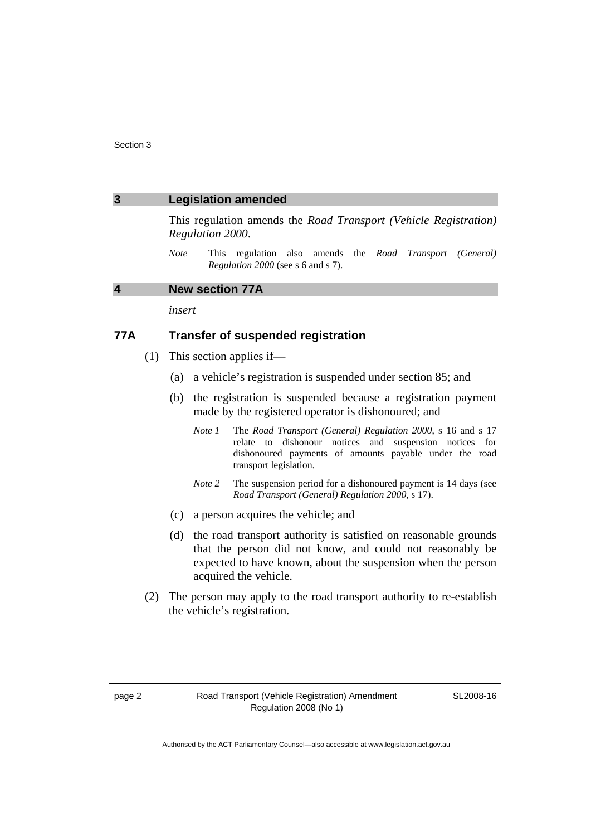#### **3 Legislation amended**

This regulation amends the *Road Transport (Vehicle Registration) Regulation 2000*.

*Note* This regulation also amends the *Road Transport (General) Regulation 2000* (see s 6 and s 7).

## **4 New section 77A**

*insert* 

### **77A Transfer of suspended registration**

- (1) This section applies if—
	- (a) a vehicle's registration is suspended under section 85; and
	- (b) the registration is suspended because a registration payment made by the registered operator is dishonoured; and
		- *Note 1* The *Road Transport (General) Regulation 2000*, s 16 and s 17 relate to dishonour notices and suspension notices for dishonoured payments of amounts payable under the road transport legislation.
		- *Note 2* The suspension period for a dishonoured payment is 14 days (see *Road Transport (General) Regulation 2000*, s 17).
	- (c) a person acquires the vehicle; and
	- (d) the road transport authority is satisfied on reasonable grounds that the person did not know, and could not reasonably be expected to have known, about the suspension when the person acquired the vehicle.
- (2) The person may apply to the road transport authority to re-establish the vehicle's registration.

SL2008-16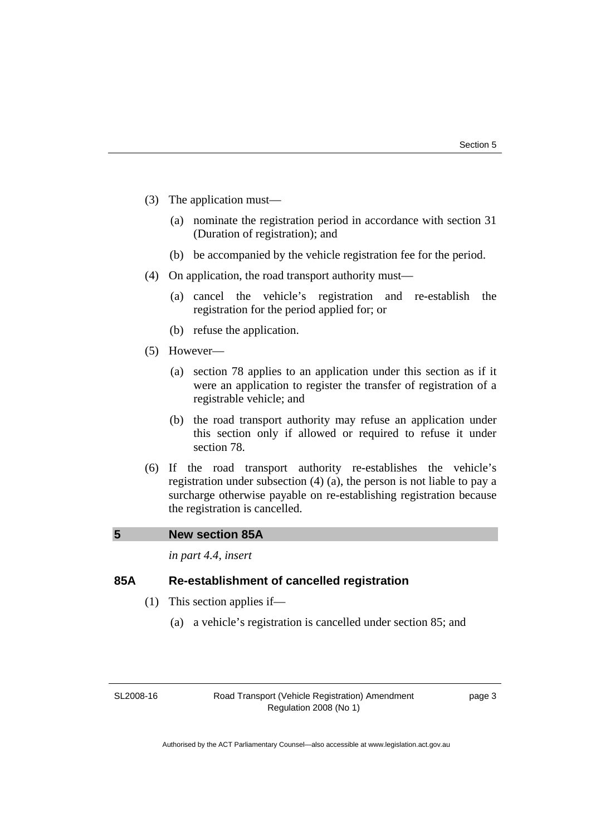- (3) The application must—
	- (a) nominate the registration period in accordance with section 31 (Duration of registration); and
	- (b) be accompanied by the vehicle registration fee for the period.
- (4) On application, the road transport authority must—
	- (a) cancel the vehicle's registration and re-establish the registration for the period applied for; or
	- (b) refuse the application.
- (5) However—
	- (a) section 78 applies to an application under this section as if it were an application to register the transfer of registration of a registrable vehicle; and
	- (b) the road transport authority may refuse an application under this section only if allowed or required to refuse it under section 78.
- (6) If the road transport authority re-establishes the vehicle's registration under subsection (4) (a), the person is not liable to pay a surcharge otherwise payable on re-establishing registration because the registration is cancelled.

#### **5 New section 85A**

*in part 4.4, insert* 

# **85A Re-establishment of cancelled registration**

- (1) This section applies if—
	- (a) a vehicle's registration is cancelled under section 85; and

SL2008-16

Road Transport (Vehicle Registration) Amendment Regulation 2008 (No 1)

page 3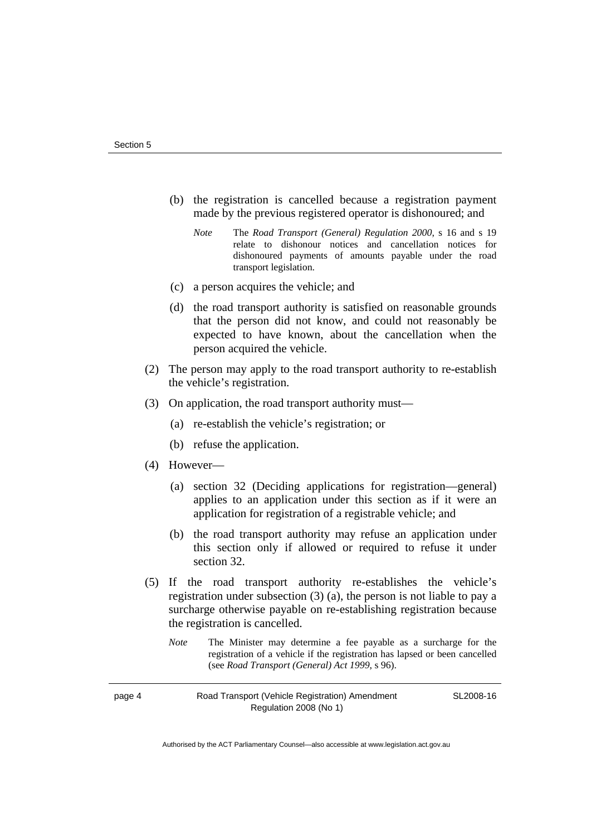- (b) the registration is cancelled because a registration payment made by the previous registered operator is dishonoured; and
	- *Note* The *Road Transport (General) Regulation 2000*, s 16 and s 19 relate to dishonour notices and cancellation notices for dishonoured payments of amounts payable under the road transport legislation.
- (c) a person acquires the vehicle; and
- (d) the road transport authority is satisfied on reasonable grounds that the person did not know, and could not reasonably be expected to have known, about the cancellation when the person acquired the vehicle.
- (2) The person may apply to the road transport authority to re-establish the vehicle's registration.
- (3) On application, the road transport authority must—
	- (a) re-establish the vehicle's registration; or
	- (b) refuse the application.
- (4) However—
	- (a) section 32 (Deciding applications for registration—general) applies to an application under this section as if it were an application for registration of a registrable vehicle; and
	- (b) the road transport authority may refuse an application under this section only if allowed or required to refuse it under section 32.
- (5) If the road transport authority re-establishes the vehicle's registration under subsection (3) (a), the person is not liable to pay a surcharge otherwise payable on re-establishing registration because the registration is cancelled.
	- *Note* The Minister may determine a fee payable as a surcharge for the registration of a vehicle if the registration has lapsed or been cancelled (see *Road Transport (General) Act 1999*, s 96).

page 4 Road Transport (Vehicle Registration) Amendment Regulation 2008 (No 1)

SL2008-16

Authorised by the ACT Parliamentary Counsel—also accessible at www.legislation.act.gov.au